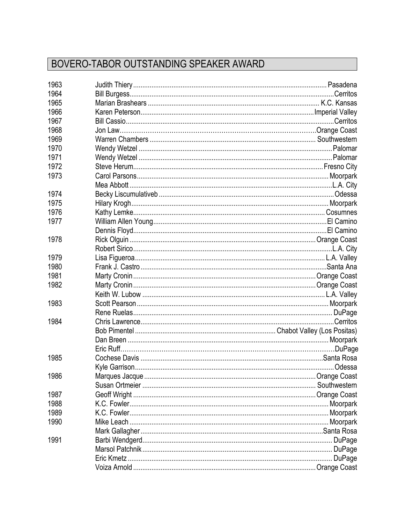## BOVERO-TABOR OUTSTANDING SPEAKER AWARD

| 1963 |  |
|------|--|
| 1964 |  |
| 1965 |  |
| 1966 |  |
| 1967 |  |
| 1968 |  |
| 1969 |  |
| 1970 |  |
| 1971 |  |
| 1972 |  |
| 1973 |  |
|      |  |
| 1974 |  |
| 1975 |  |
| 1976 |  |
| 1977 |  |
|      |  |
| 1978 |  |
|      |  |
| 1979 |  |
| 1980 |  |
| 1981 |  |
| 1982 |  |
|      |  |
| 1983 |  |
|      |  |
| 1984 |  |
|      |  |
|      |  |
|      |  |
| 1985 |  |
|      |  |
| 1986 |  |
|      |  |
| 1987 |  |
| 1988 |  |
| 1989 |  |
| 1990 |  |
|      |  |
| 1991 |  |
|      |  |
|      |  |
|      |  |